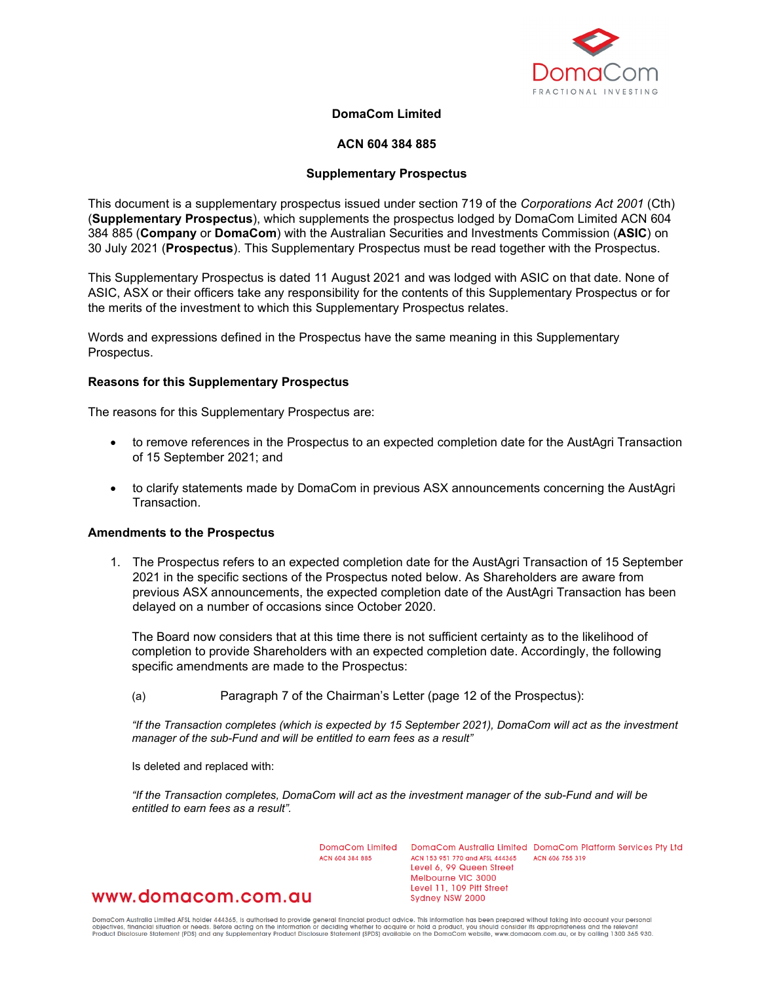

# **DomaCom Limited**

# **ACN 604 384 885**

# **Supplementary Prospectus**

This document is a supplementary prospectus issued under section 719 of the *Corporations Act 2001* (Cth) (**Supplementary Prospectus**), which supplements the prospectus lodged by DomaCom Limited ACN 604 384 885 (**Company** or **DomaCom**) with the Australian Securities and Investments Commission (**ASIC**) on 30 July 2021 (**Prospectus**). This Supplementary Prospectus must be read together with the Prospectus.

This Supplementary Prospectus is dated 11 August 2021 and was lodged with ASIC on that date. None of ASIC, ASX or their officers take any responsibility for the contents of this Supplementary Prospectus or for the merits of the investment to which this Supplementary Prospectus relates.

Words and expressions defined in the Prospectus have the same meaning in this Supplementary Prospectus.

## **Reasons for this Supplementary Prospectus**

The reasons for this Supplementary Prospectus are:

- to remove references in the Prospectus to an expected completion date for the AustAgri Transaction of 15 September 2021; and
- to clarify statements made by DomaCom in previous ASX announcements concerning the AustAgri Transaction.

#### **Amendments to the Prospectus**

1. The Prospectus refers to an expected completion date for the AustAgri Transaction of 15 September 2021 in the specific sections of the Prospectus noted below. As Shareholders are aware from previous ASX announcements, the expected completion date of the AustAgri Transaction has been delayed on a number of occasions since October 2020.

The Board now considers that at this time there is not sufficient certainty as to the likelihood of completion to provide Shareholders with an expected completion date. Accordingly, the following specific amendments are made to the Prospectus:

(a) Paragraph 7 of the Chairman's Letter (page 12 of the Prospectus):

*"If the Transaction completes (which is expected by 15 September 2021), DomaCom will act as the investment manager of the sub-Fund and will be entitled to earn fees as a result"*

Is deleted and replaced with:

*"If the Transaction completes, DomaCom will act as the investment manager of the sub-Fund and will be entitled to earn fees as a result".*

ACN 604 384 885

DomaCom Limited DomaCom Australia Limited DomaCom Platform Services Pty Ltd ACN 153 951 770 and AFSL 444365 ACN 606 755 319 Level 6, 99 Queen Street Melbourne VIC 3000 Level 11, 109 Pitt Street Sydney NSW 2000

# www.domacom.com.au

DomaCom Australia Limited AFSL holder 444365, is authorised to provide general financial product advice. This information has been prepared without taking into account your personal<br>objectives, financial situation or needs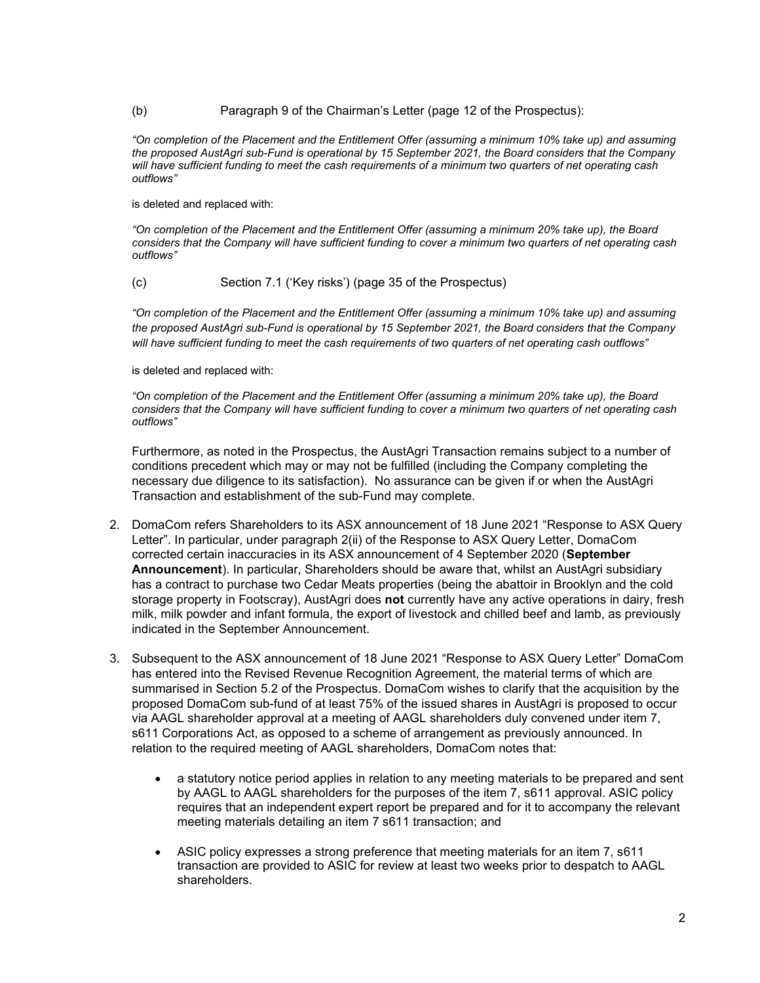# (b) Paragraph 9 of the Chairman's Letter (page 12 of the Prospectus):

*"On completion of the Placement and the Entitlement Offer (assuming a minimum 10% take up) and assuming the proposed AustAgri sub-Fund is operational by 15 September 2021, the Board considers that the Company will have sufficient funding to meet the cash requirements of a minimum two quarters of net operating cash outflows"*

is deleted and replaced with:

*"On completion of the Placement and the Entitlement Offer (assuming a minimum 20% take up), the Board considers that the Company will have sufficient funding to cover a minimum two quarters of net operating cash outflows"*

(c) Section 7.1 ('Key risks') (page 35 of the Prospectus)

*"On completion of the Placement and the Entitlement Offer (assuming a minimum 10% take up) and assuming the proposed AustAgri sub-Fund is operational by 15 September 2021, the Board considers that the Company will have sufficient funding to meet the cash requirements of two quarters of net operating cash outflows"*

is deleted and replaced with:

*"On completion of the Placement and the Entitlement Offer (assuming a minimum 20% take up), the Board considers that the Company will have sufficient funding to cover a minimum two quarters of net operating cash outflows"*

Furthermore, as noted in the Prospectus, the AustAgri Transaction remains subject to a number of conditions precedent which may or may not be fulfilled (including the Company completing the necessary due diligence to its satisfaction). No assurance can be given if or when the AustAgri Transaction and establishment of the sub-Fund may complete.

- 2. DomaCom refers Shareholders to its ASX announcement of 18 June 2021 "Response to ASX Query Letter". In particular, under paragraph 2(ii) of the Response to ASX Query Letter, DomaCom corrected certain inaccuracies in its ASX announcement of 4 September 2020 (**September Announcement**). In particular, Shareholders should be aware that, whilst an AustAgri subsidiary has a contract to purchase two Cedar Meats properties (being the abattoir in Brooklyn and the cold storage property in Footscray), AustAgri does **not** currently have any active operations in dairy, fresh milk, milk powder and infant formula, the export of livestock and chilled beef and lamb, as previously indicated in the September Announcement.
- 3. Subsequent to the ASX announcement of 18 June 2021 "Response to ASX Query Letter" DomaCom has entered into the Revised Revenue Recognition Agreement, the material terms of which are summarised in Section 5.2 of the Prospectus. DomaCom wishes to clarify that the acquisition by the proposed DomaCom sub-fund of at least 75% of the issued shares in AustAgri is proposed to occur via AAGL shareholder approval at a meeting of AAGL shareholders duly convened under item 7, s611 Corporations Act, as opposed to a scheme of arrangement as previously announced. In relation to the required meeting of AAGL shareholders, DomaCom notes that:
	- a statutory notice period applies in relation to any meeting materials to be prepared and sent by AAGL to AAGL shareholders for the purposes of the item 7, s611 approval. ASIC policy requires that an independent expert report be prepared and for it to accompany the relevant meeting materials detailing an item 7 s611 transaction; and
	- ASIC policy expresses a strong preference that meeting materials for an item 7, s611 transaction are provided to ASIC for review at least two weeks prior to despatch to AAGL shareholders.